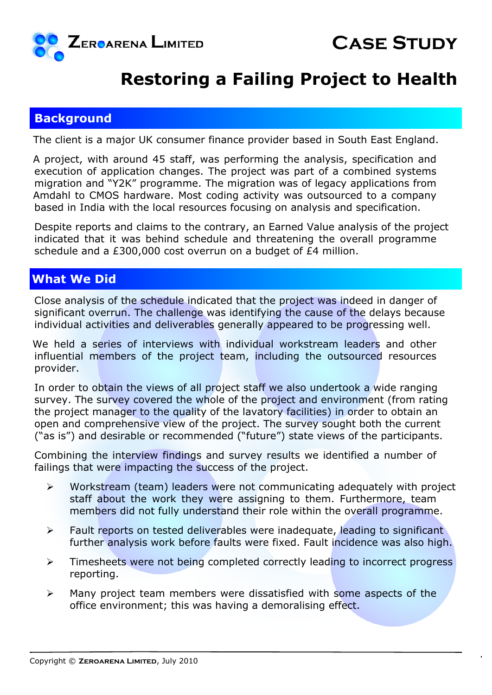

## **Restoring a Failing Project to Health**

## **Background**

The client is a major UK consumer finance provider based in South East England.

A project, with around 45 staff, was performing the analysis, specification and execution of application changes. The project was part of a combined systems migration and "Y2K" programme. The migration was of legacy applications from Amdahl to CMOS hardware. Most coding activity was outsourced to a company based in India with the local resources focusing on analysis and specification.

Despite reports and claims to the contrary, an Earned Value analysis of the project indicated that it was behind schedule and threatening the overall programme schedule and a £300,000 cost overrun on a budget of £4 million.

## **What We Did**

Close analysis of the schedule indicated that the project was indeed in danger of significant overrun. The challenge was identifying the cause of the delays because individual activities and deliverables generally appeared to be progressing well.

We held a series of interviews with individual workstream leaders and other influential members of the project team, including the outsourced resources provider.

In order to obtain the views of all project staff we also undertook a wide ranging survey. The survey covered the whole of the project and environment (from rating the project manager to the quality of the lavatory facilities) in order to obtain an open and comprehensive view of the project. The survey sought both the current ("as is") and desirable or recommended ("future") state views of the participants.

Combining the interview findings and survey results we identified a number of failings that were impacting the success of the project.

- $\triangleright$  Workstream (team) leaders were not communicating adequately with project staff about the work they were assigning to them. Furthermore, team members did not fully understand their role within the overall programme.
- $\triangleright$  Fault reports on tested deliverables were inadequate, leading to significant further analysis work before faults were fixed. Fault incidence was also high.
- $\triangleright$  Timesheets were not being completed correctly leading to incorrect progress reporting.
- $\triangleright$  Many project team members were dissatisfied with some aspects of the office environment; this was having a demoralising effect.